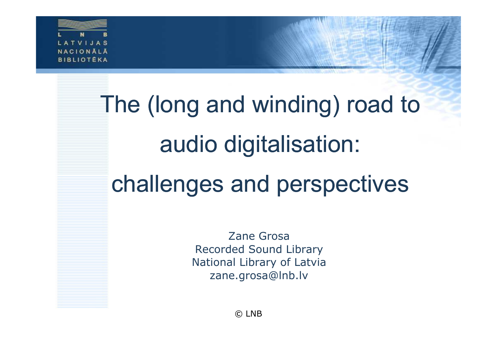

# The (long and winding) road to audio digitalisation:challenges and perspectives

Zane Grosa Recorded Sound Library National Library of Latviazane.grosa@lnb.lv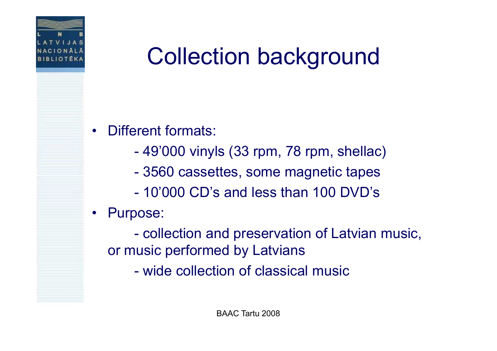

## Collection background

- • Different formats:
	- $\mathcal{L}_{\mathcal{A}}$  -size  $\mathcal{L}_{\mathcal{A}}$  and  $\mathcal{L}_{\mathcal{A}}$  and  $\mathcal{L}_{\mathcal{A}}$ 49'000 vinyls (33 rpm, 78 rpm, shellac)
	- $\mathcal{L}_{\mathcal{A}}$  -size  $\mathcal{L}_{\mathcal{A}}$  and  $\mathcal{L}_{\mathcal{A}}$  and  $\mathcal{L}_{\mathcal{A}}$ 3560 cassettes, some magnetic tapes
	- -10'000 CD's and less than 100 DVD's

#### •Purpose:

 $\mathcal{L}_{\mathcal{A}}$ collection and preservation of Latvian music, or music performed by Latvians

 $\mathcal{L}_{\mathcal{A}}$  -size  $\mathcal{L}_{\mathcal{A}}$  and  $\mathcal{L}_{\mathcal{A}}$  and  $\mathcal{L}_{\mathcal{A}}$ wide collection of classical music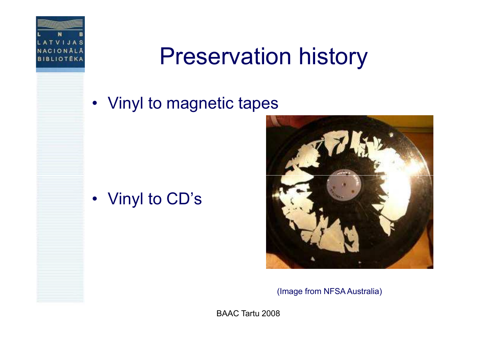

### Preservation history

### • Vinyl to magnetic tapes

### • Vinyl to CD's



(Image from NFSA Australia)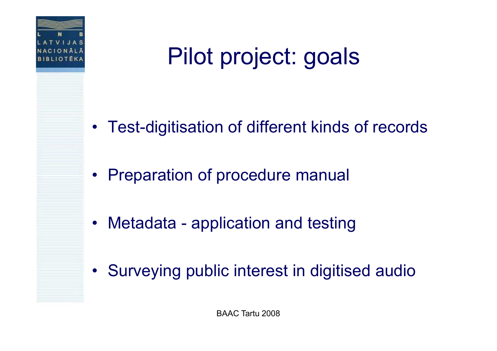

## Pilot project: goals

- Test-digitisation of different kinds of records
- Preparation of procedure manual
- $\bullet$ Metadata - application and testing
- Surveying public interest in digitised audio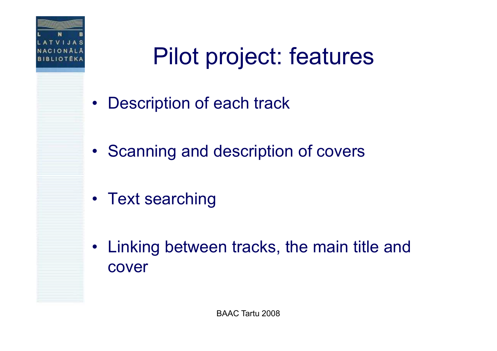

## Pilot project: features

- $\bullet$ Description of each track
- Scanning and description of covers
- Text searching
- $\bullet$  Linking between tracks, the main title and cover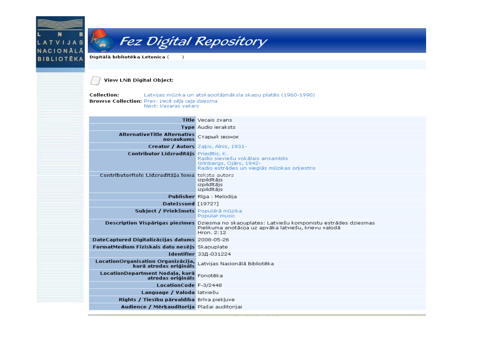### N B<br>'IJAS N NACIONALA **BIBLIOTÉKA**

### **Ex** Fez Digital Repository

 $\rightarrow$ 

Digitālā bibliotēka Letonica (

#### **View LNB Digital Object:**

**Collection:** Latvijas mūzika un atskaņotājmāksla skaņu platēs (1960-1990) Browse Collection: Prev: Vecã sēļa ceļa dziesma Next: Vasaras vakars

|                                                              | <b>Title Vecais zvans</b>                                                                                                                                            |
|--------------------------------------------------------------|----------------------------------------------------------------------------------------------------------------------------------------------------------------------|
|                                                              | <b>Type</b> Audio ieraksts                                                                                                                                           |
| <b>AlternativeTitle Alternativs</b><br>nosaukums             | Старый звонок                                                                                                                                                        |
|                                                              | Creator / Autors Zakis, Alnis, 1931-                                                                                                                                 |
| Contributor Līdzradītājs Priedītis, K.                       | Radio sieviešu vokālais ansamblis<br>Grīnberas, Ojārs, 1942-<br>Radio estrādes un vieglās mūzikas orkestris                                                          |
| ContributorRole Līdzradītāja loma teksta autors              | izpildītājs<br>izpildītājs<br>izpildītāis                                                                                                                            |
|                                                              | Publisher Rīga : Melodija                                                                                                                                            |
| DateIssued [1972?]                                           |                                                                                                                                                                      |
| Subject / Priekšmets Populārā mūzika                         | Popular music                                                                                                                                                        |
|                                                              | Description Vispārīgas piezīmes Dziesma no skanuplates: Latviešu komponistu estrādes dziesmas<br>Pielikuma anotācija uz apvāka latviešu, krievu valodā<br>Hron. 2:12 |
| DateCaptured Digitalizācijas datums 2008-05-26               |                                                                                                                                                                      |
| FormatMedium Fiziskais datu nesējs Skaņuplate                |                                                                                                                                                                      |
|                                                              | <b>Identifier</b> 33Д-031224                                                                                                                                         |
| LocationOrganisation Organizācija,<br>kurā atrodas oriģināls | Latvijas Nacionālā Bibliotēka                                                                                                                                        |
| LocationDepartment Nodaļa, kurā<br>atrodas oriģināls         | Fonotēka                                                                                                                                                             |
| LocationCode F-3/2448                                        |                                                                                                                                                                      |
| Language / Valoda latviešu                                   |                                                                                                                                                                      |
| Rights / Tiesību pārvaldība Brīva piekļuve                   |                                                                                                                                                                      |
| Audience / Mērkauditorija Plašai auditorijai                 |                                                                                                                                                                      |
|                                                              |                                                                                                                                                                      |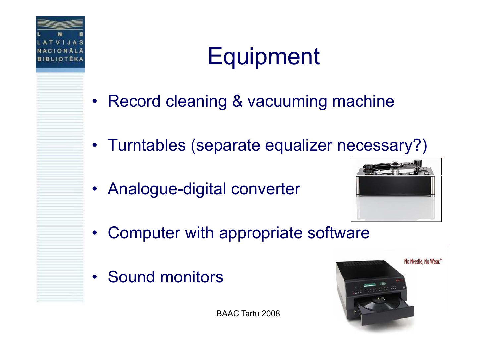

## **Equipment**

- Record cleaning & vacuuming machine
- Turntables (separate equalizer necessary?)
- Analogue-digital converter



- $\bullet$ Computer with appropriate software
- Sound monitors

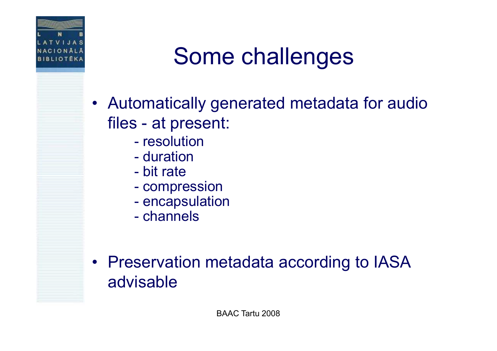

### Some challenges

- $\bullet$  Automatically generated metadata for audio files - at present:
	- resolution<br>duration
	- $\mathcal{L}_{\mathcal{A}}$  -size  $\mathcal{L}_{\mathcal{A}}$  and  $\mathcal{L}_{\mathcal{A}}$  and  $\mathcal{L}_{\mathcal{A}}$ duration<br>bit rate
	- $\mathcal{L}_{\mathcal{A}}$ bit rate
	- compi compression<br>opensulatio
	- $\mathcal{L}_{\mathcal{A}}$  -size  $\mathcal{L}_{\mathcal{A}}$  and  $\mathcal{L}_{\mathcal{A}}$  and  $\mathcal{L}_{\mathcal{A}}$ encapsulation<br>channels
	- channels
- Preservation metadata according to IASA advisable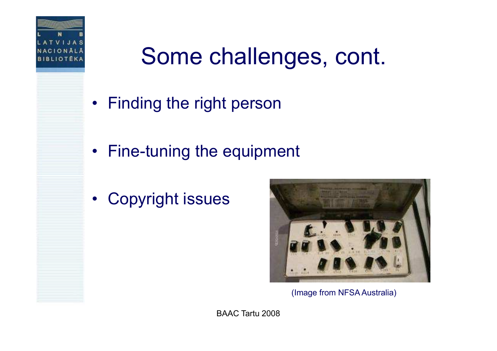

### Some challenges, cont.

- Finding the right person
- Fine-tuning the equipment
- Copyright issues



(Image from NFSA Australia)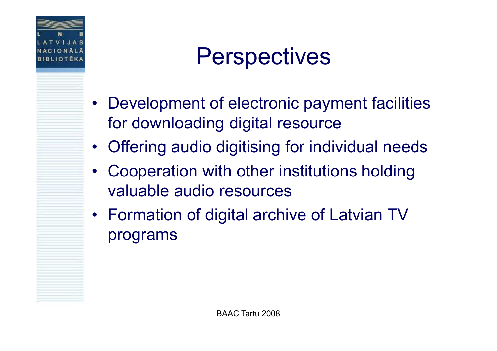

### **Perspectives**

- • Development of electronic payment facilities for downloading digital resource
- Offering audio digitising for individual needs
- • Cooperation with other institutions holding valuable audio resources
- Formation of digital archive of Latvian TV programs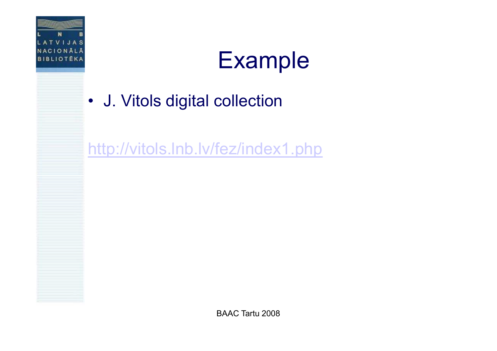

### Example

### • J. Vitols digital collection

http://vitols.Inb.lv/fez/index1.php